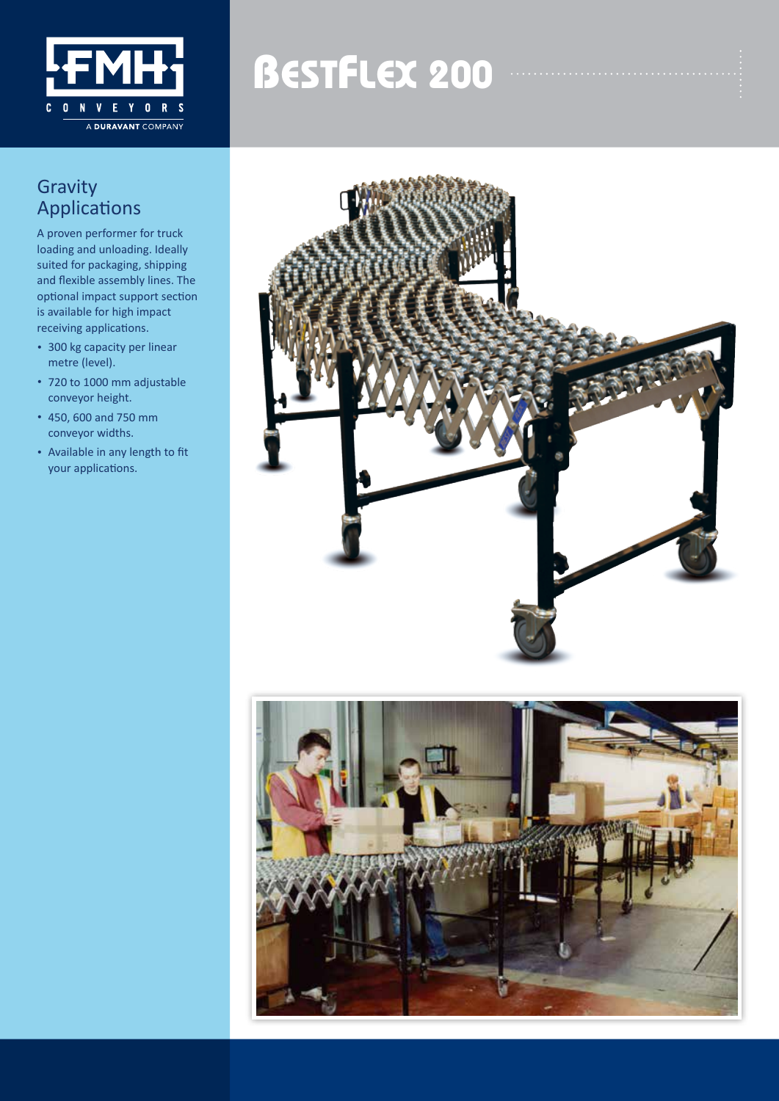

# **BESTFLEX 200**

### **Gravity** Applications

A proven performer for truck loading and unloading. Ideally suited for packaging, shipping and flexible assembly lines. The optional impact support section is available for high impact receiving applications.

- 300 kg capacity per linear metre (level).
- 720 to 1000 mm adjustable conveyor height.
- 450, 600 and 750 mm conveyor widths.
- Available in any length to fit your applications.